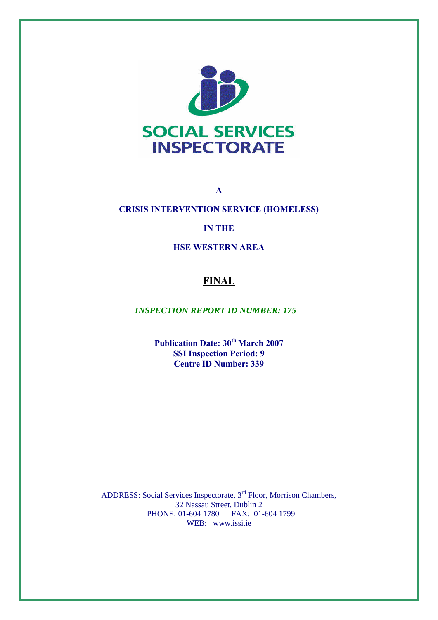

**CRISIS INTERVENTION SERVICE (HOMELESS)** 

**A** 

# **IN THE**

**HSE WESTERN AREA** 

# **FINAL**

*INSPECTION REPORT ID NUMBER: 175* 

**Publication Date: 30<sup>th</sup> March 2007 SSI Inspection Period: 9 Centre ID Number: 339**

ADDRESS: Social Services Inspectorate, 3rd Floor, Morrison Chambers, 32 Nassau Street, Dublin 2 PHONE: 01-604 1780 FAX: 01-604 1799 WEB: [www.issi.ie](http://www.issi.ie/)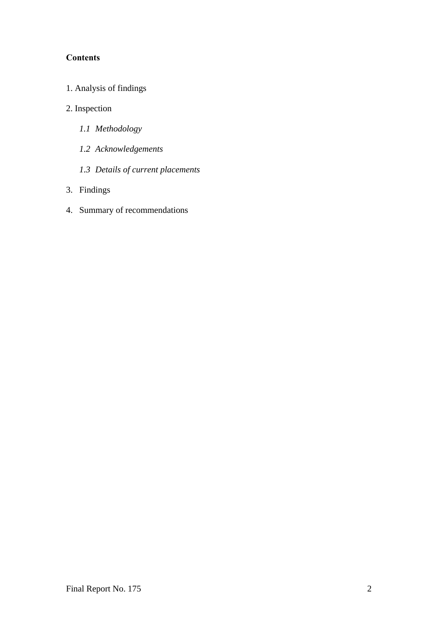# **Contents**

- 1. Analysis of findings
- 2. Inspection
	- *1.1 Methodology*
	- *1.2 Acknowledgements*
	- *1.3 Details of current placements*
- 3. Findings
- 4. Summary of recommendations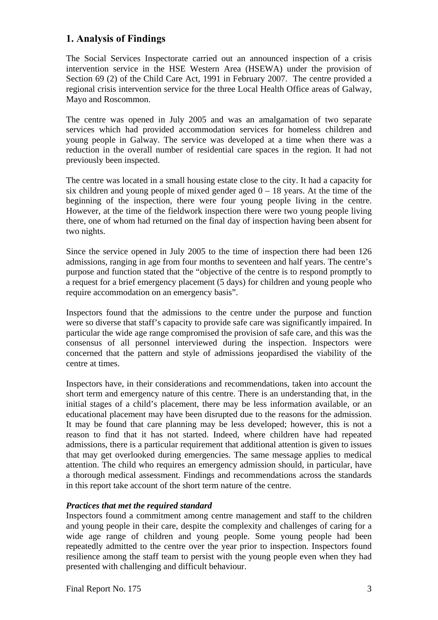# **1. Analysis of Findings**

The Social Services Inspectorate carried out an announced inspection of a crisis intervention service in the HSE Western Area (HSEWA) under the provision of Section 69 (2) of the Child Care Act, 1991 in February 2007. The centre provided a regional crisis intervention service for the three Local Health Office areas of Galway, Mayo and Roscommon.

The centre was opened in July 2005 and was an amalgamation of two separate services which had provided accommodation services for homeless children and young people in Galway. The service was developed at a time when there was a reduction in the overall number of residential care spaces in the region. It had not previously been inspected.

The centre was located in a small housing estate close to the city. It had a capacity for six children and young people of mixed gender aged  $0 - 18$  years. At the time of the beginning of the inspection, there were four young people living in the centre. However, at the time of the fieldwork inspection there were two young people living there, one of whom had returned on the final day of inspection having been absent for two nights.

Since the service opened in July 2005 to the time of inspection there had been 126 admissions, ranging in age from four months to seventeen and half years. The centre's purpose and function stated that the "objective of the centre is to respond promptly to a request for a brief emergency placement (5 days) for children and young people who require accommodation on an emergency basis".

Inspectors found that the admissions to the centre under the purpose and function were so diverse that staff's capacity to provide safe care was significantly impaired. In particular the wide age range compromised the provision of safe care, and this was the consensus of all personnel interviewed during the inspection. Inspectors were concerned that the pattern and style of admissions jeopardised the viability of the centre at times.

Inspectors have, in their considerations and recommendations, taken into account the short term and emergency nature of this centre. There is an understanding that, in the initial stages of a child's placement, there may be less information available, or an educational placement may have been disrupted due to the reasons for the admission. It may be found that care planning may be less developed; however, this is not a reason to find that it has not started. Indeed, where children have had repeated admissions, there is a particular requirement that additional attention is given to issues that may get overlooked during emergencies. The same message applies to medical attention. The child who requires an emergency admission should, in particular, have a thorough medical assessment. Findings and recommendations across the standards in this report take account of the short term nature of the centre.

# *Practices that met the required standard*

Inspectors found a commitment among centre management and staff to the children and young people in their care, despite the complexity and challenges of caring for a wide age range of children and young people. Some young people had been repeatedly admitted to the centre over the year prior to inspection. Inspectors found resilience among the staff team to persist with the young people even when they had presented with challenging and difficult behaviour.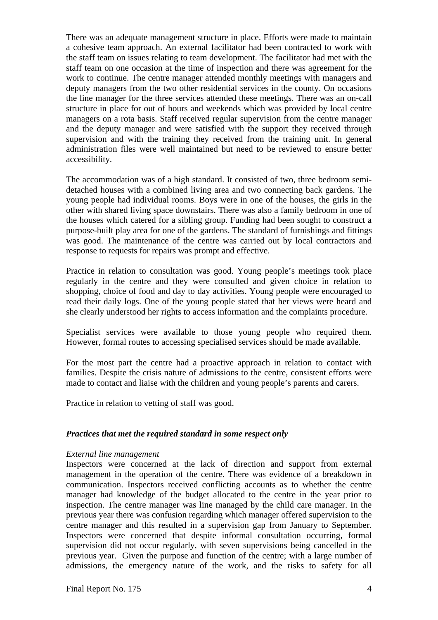There was an adequate management structure in place. Efforts were made to maintain a cohesive team approach. An external facilitator had been contracted to work with the staff team on issues relating to team development. The facilitator had met with the staff team on one occasion at the time of inspection and there was agreement for the work to continue. The centre manager attended monthly meetings with managers and deputy managers from the two other residential services in the county. On occasions the line manager for the three services attended these meetings. There was an on-call structure in place for out of hours and weekends which was provided by local centre managers on a rota basis. Staff received regular supervision from the centre manager and the deputy manager and were satisfied with the support they received through supervision and with the training they received from the training unit. In general administration files were well maintained but need to be reviewed to ensure better accessibility.

The accommodation was of a high standard. It consisted of two, three bedroom semidetached houses with a combined living area and two connecting back gardens. The young people had individual rooms. Boys were in one of the houses, the girls in the other with shared living space downstairs. There was also a family bedroom in one of the houses which catered for a sibling group. Funding had been sought to construct a purpose-built play area for one of the gardens. The standard of furnishings and fittings was good. The maintenance of the centre was carried out by local contractors and response to requests for repairs was prompt and effective.

Practice in relation to consultation was good. Young people's meetings took place regularly in the centre and they were consulted and given choice in relation to shopping, choice of food and day to day activities. Young people were encouraged to read their daily logs. One of the young people stated that her views were heard and she clearly understood her rights to access information and the complaints procedure.

Specialist services were available to those young people who required them. However, formal routes to accessing specialised services should be made available.

For the most part the centre had a proactive approach in relation to contact with families. Despite the crisis nature of admissions to the centre, consistent efforts were made to contact and liaise with the children and young people's parents and carers.

Practice in relation to vetting of staff was good.

### *Practices that met the required standard in some respect only*

#### *External line management*

Inspectors were concerned at the lack of direction and support from external management in the operation of the centre. There was evidence of a breakdown in communication. Inspectors received conflicting accounts as to whether the centre manager had knowledge of the budget allocated to the centre in the year prior to inspection. The centre manager was line managed by the child care manager. In the previous year there was confusion regarding which manager offered supervision to the centre manager and this resulted in a supervision gap from January to September. Inspectors were concerned that despite informal consultation occurring, formal supervision did not occur regularly, with seven supervisions being cancelled in the previous year. Given the purpose and function of the centre; with a large number of admissions, the emergency nature of the work, and the risks to safety for all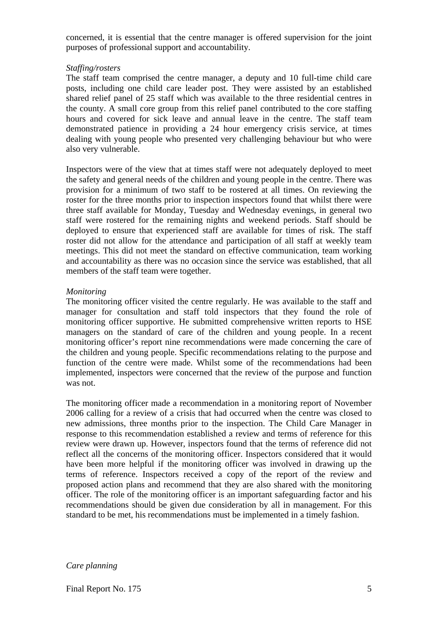concerned, it is essential that the centre manager is offered supervision for the joint purposes of professional support and accountability.

#### *Staffing/rosters*

The staff team comprised the centre manager, a deputy and 10 full-time child care posts, including one child care leader post. They were assisted by an established shared relief panel of 25 staff which was available to the three residential centres in the county. A small core group from this relief panel contributed to the core staffing hours and covered for sick leave and annual leave in the centre. The staff team demonstrated patience in providing a 24 hour emergency crisis service, at times dealing with young people who presented very challenging behaviour but who were also very vulnerable.

Inspectors were of the view that at times staff were not adequately deployed to meet the safety and general needs of the children and young people in the centre. There was provision for a minimum of two staff to be rostered at all times. On reviewing the roster for the three months prior to inspection inspectors found that whilst there were three staff available for Monday, Tuesday and Wednesday evenings, in general two staff were rostered for the remaining nights and weekend periods. Staff should be deployed to ensure that experienced staff are available for times of risk. The staff roster did not allow for the attendance and participation of all staff at weekly team meetings. This did not meet the standard on effective communication, team working and accountability as there was no occasion since the service was established, that all members of the staff team were together.

#### *Monitoring*

The monitoring officer visited the centre regularly. He was available to the staff and manager for consultation and staff told inspectors that they found the role of monitoring officer supportive. He submitted comprehensive written reports to HSE managers on the standard of care of the children and young people. In a recent monitoring officer's report nine recommendations were made concerning the care of the children and young people. Specific recommendations relating to the purpose and function of the centre were made. Whilst some of the recommendations had been implemented, inspectors were concerned that the review of the purpose and function was not.

The monitoring officer made a recommendation in a monitoring report of November 2006 calling for a review of a crisis that had occurred when the centre was closed to new admissions, three months prior to the inspection. The Child Care Manager in response to this recommendation established a review and terms of reference for this review were drawn up. However, inspectors found that the terms of reference did not reflect all the concerns of the monitoring officer. Inspectors considered that it would have been more helpful if the monitoring officer was involved in drawing up the terms of reference. Inspectors received a copy of the report of the review and proposed action plans and recommend that they are also shared with the monitoring officer. The role of the monitoring officer is an important safeguarding factor and his recommendations should be given due consideration by all in management. For this standard to be met, his recommendations must be implemented in a timely fashion.

#### *Care planning*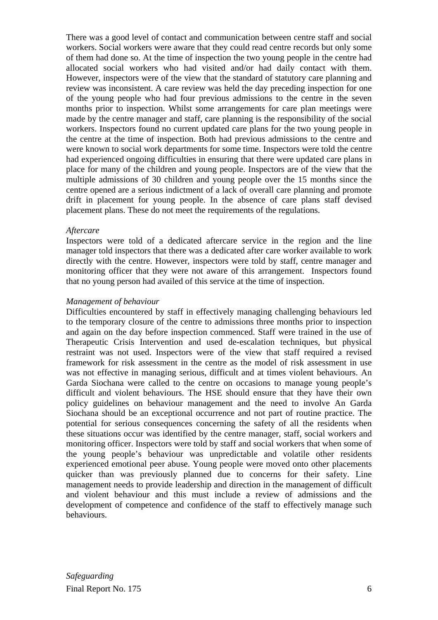There was a good level of contact and communication between centre staff and social workers. Social workers were aware that they could read centre records but only some of them had done so. At the time of inspection the two young people in the centre had allocated social workers who had visited and/or had daily contact with them. However, inspectors were of the view that the standard of statutory care planning and review was inconsistent. A care review was held the day preceding inspection for one of the young people who had four previous admissions to the centre in the seven months prior to inspection. Whilst some arrangements for care plan meetings were made by the centre manager and staff, care planning is the responsibility of the social workers. Inspectors found no current updated care plans for the two young people in the centre at the time of inspection. Both had previous admissions to the centre and were known to social work departments for some time. Inspectors were told the centre had experienced ongoing difficulties in ensuring that there were updated care plans in place for many of the children and young people. Inspectors are of the view that the multiple admissions of 30 children and young people over the 15 months since the centre opened are a serious indictment of a lack of overall care planning and promote drift in placement for young people. In the absence of care plans staff devised placement plans. These do not meet the requirements of the regulations.

#### *Aftercare*

Inspectors were told of a dedicated aftercare service in the region and the line manager told inspectors that there was a dedicated after care worker available to work directly with the centre. However, inspectors were told by staff, centre manager and monitoring officer that they were not aware of this arrangement. Inspectors found that no young person had availed of this service at the time of inspection.

#### *Management of behaviour*

Difficulties encountered by staff in effectively managing challenging behaviours led to the temporary closure of the centre to admissions three months prior to inspection and again on the day before inspection commenced. Staff were trained in the use of Therapeutic Crisis Intervention and used de-escalation techniques, but physical restraint was not used. Inspectors were of the view that staff required a revised framework for risk assessment in the centre as the model of risk assessment in use was not effective in managing serious, difficult and at times violent behaviours. An Garda Siochana were called to the centre on occasions to manage young people's difficult and violent behaviours. The HSE should ensure that they have their own policy guidelines on behaviour management and the need to involve An Garda Siochana should be an exceptional occurrence and not part of routine practice. The potential for serious consequences concerning the safety of all the residents when these situations occur was identified by the centre manager, staff, social workers and monitoring officer. Inspectors were told by staff and social workers that when some of the young people's behaviour was unpredictable and volatile other residents experienced emotional peer abuse. Young people were moved onto other placements quicker than was previously planned due to concerns for their safety. Line management needs to provide leadership and direction in the management of difficult and violent behaviour and this must include a review of admissions and the development of competence and confidence of the staff to effectively manage such behaviours.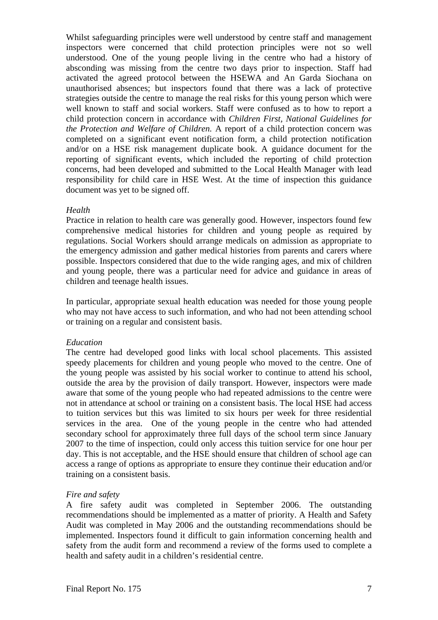Whilst safeguarding principles were well understood by centre staff and management inspectors were concerned that child protection principles were not so well understood. One of the young people living in the centre who had a history of absconding was missing from the centre two days prior to inspection. Staff had activated the agreed protocol between the HSEWA and An Garda Siochana on unauthorised absences; but inspectors found that there was a lack of protective strategies outside the centre to manage the real risks for this young person which were well known to staff and social workers. Staff were confused as to how to report a child protection concern in accordance with *Children First, National Guidelines for the Protection and Welfare of Children.* A report of a child protection concern was completed on a significant event notification form, a child protection notification and/or on a HSE risk management duplicate book. A guidance document for the reporting of significant events, which included the reporting of child protection concerns, had been developed and submitted to the Local Health Manager with lead responsibility for child care in HSE West. At the time of inspection this guidance document was yet to be signed off.

### *Health*

Practice in relation to health care was generally good. However, inspectors found few comprehensive medical histories for children and young people as required by regulations. Social Workers should arrange medicals on admission as appropriate to the emergency admission and gather medical histories from parents and carers where possible. Inspectors considered that due to the wide ranging ages, and mix of children and young people, there was a particular need for advice and guidance in areas of children and teenage health issues.

In particular, appropriate sexual health education was needed for those young people who may not have access to such information, and who had not been attending school or training on a regular and consistent basis.

### *Education*

The centre had developed good links with local school placements. This assisted speedy placements for children and young people who moved to the centre. One of the young people was assisted by his social worker to continue to attend his school, outside the area by the provision of daily transport. However, inspectors were made aware that some of the young people who had repeated admissions to the centre were not in attendance at school or training on a consistent basis. The local HSE had access to tuition services but this was limited to six hours per week for three residential services in the area. One of the young people in the centre who had attended secondary school for approximately three full days of the school term since January 2007 to the time of inspection, could only access this tuition service for one hour per day. This is not acceptable, and the HSE should ensure that children of school age can access a range of options as appropriate to ensure they continue their education and/or training on a consistent basis.

# *Fire and safety*

A fire safety audit was completed in September 2006. The outstanding recommendations should be implemented as a matter of priority. A Health and Safety Audit was completed in May 2006 and the outstanding recommendations should be implemented. Inspectors found it difficult to gain information concerning health and safety from the audit form and recommend a review of the forms used to complete a health and safety audit in a children's residential centre.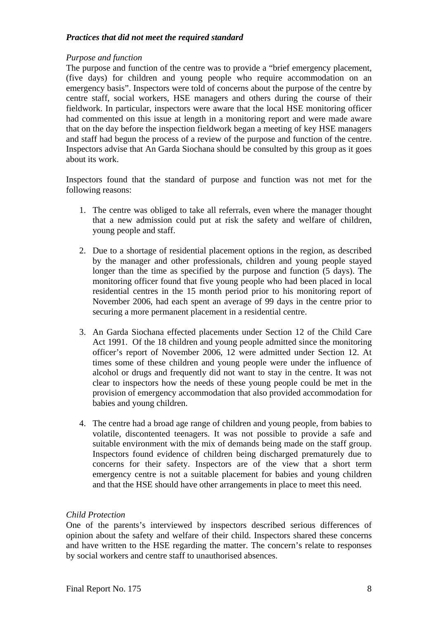## *Practices that did not meet the required standard*

## *Purpose and function*

The purpose and function of the centre was to provide a "brief emergency placement, (five days) for children and young people who require accommodation on an emergency basis". Inspectors were told of concerns about the purpose of the centre by centre staff, social workers, HSE managers and others during the course of their fieldwork. In particular, inspectors were aware that the local HSE monitoring officer had commented on this issue at length in a monitoring report and were made aware that on the day before the inspection fieldwork began a meeting of key HSE managers and staff had begun the process of a review of the purpose and function of the centre. Inspectors advise that An Garda Siochana should be consulted by this group as it goes about its work.

Inspectors found that the standard of purpose and function was not met for the following reasons:

- 1. The centre was obliged to take all referrals, even where the manager thought that a new admission could put at risk the safety and welfare of children, young people and staff.
- 2. Due to a shortage of residential placement options in the region, as described by the manager and other professionals, children and young people stayed longer than the time as specified by the purpose and function (5 days). The monitoring officer found that five young people who had been placed in local residential centres in the 15 month period prior to his monitoring report of November 2006, had each spent an average of 99 days in the centre prior to securing a more permanent placement in a residential centre.
- 3. An Garda Siochana effected placements under Section 12 of the Child Care Act 1991. Of the 18 children and young people admitted since the monitoring officer's report of November 2006, 12 were admitted under Section 12. At times some of these children and young people were under the influence of alcohol or drugs and frequently did not want to stay in the centre. It was not clear to inspectors how the needs of these young people could be met in the provision of emergency accommodation that also provided accommodation for babies and young children.
- 4. The centre had a broad age range of children and young people, from babies to volatile, discontented teenagers. It was not possible to provide a safe and suitable environment with the mix of demands being made on the staff group. Inspectors found evidence of children being discharged prematurely due to concerns for their safety. Inspectors are of the view that a short term emergency centre is not a suitable placement for babies and young children and that the HSE should have other arrangements in place to meet this need.

### *Child Protection*

One of the parents's interviewed by inspectors described serious differences of opinion about the safety and welfare of their child. Inspectors shared these concerns and have written to the HSE regarding the matter. The concern's relate to responses by social workers and centre staff to unauthorised absences.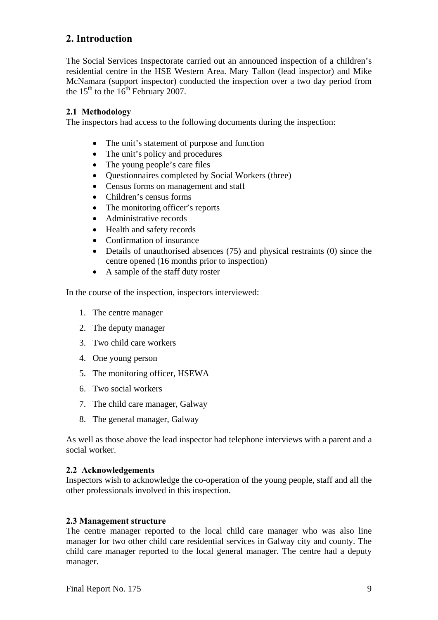# **2. Introduction**

The Social Services Inspectorate carried out an announced inspection of a children's residential centre in the HSE Western Area. Mary Tallon (lead inspector) and Mike McNamara (support inspector) conducted the inspection over a two day period from the  $15<sup>th</sup>$  to the  $16<sup>th</sup>$  February 2007.

# **2.1 Methodology**

The inspectors had access to the following documents during the inspection:

- The unit's statement of purpose and function
- The unit's policy and procedures
- The young people's care files
- Ouestionnaires completed by Social Workers (three)
- Census forms on management and staff
- Children's census forms
- The monitoring officer's reports
- Administrative records
- Health and safety records
- Confirmation of insurance
- Details of unauthorised absences (75) and physical restraints (0) since the centre opened (16 months prior to inspection)
- A sample of the staff duty roster

In the course of the inspection, inspectors interviewed:

- 1. The centre manager
- 2. The deputy manager
- 3. Two child care workers
- 4. One young person
- 5. The monitoring officer, HSEWA
- 6. Two social workers
- 7. The child care manager, Galway
- 8. The general manager, Galway

As well as those above the lead inspector had telephone interviews with a parent and a social worker.

# **2.2 Acknowledgements**

Inspectors wish to acknowledge the co-operation of the young people, staff and all the other professionals involved in this inspection.

# **2.3 Management structure**

The centre manager reported to the local child care manager who was also line manager for two other child care residential services in Galway city and county. The child care manager reported to the local general manager. The centre had a deputy manager.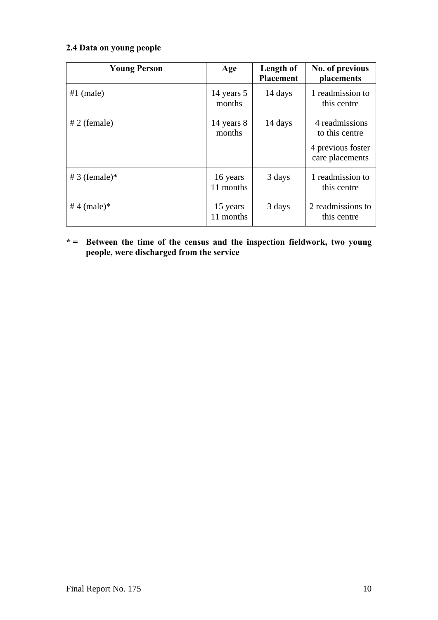# **2.4 Data on young people**

| <b>Young Person</b> | Age                   | Length of<br><b>Placement</b> | No. of previous<br>placements                                            |
|---------------------|-----------------------|-------------------------------|--------------------------------------------------------------------------|
| $#1$ (male)         | 14 years 5<br>months  | 14 days                       | 1 readmission to<br>this centre                                          |
| $# 2$ (female)      | 14 years 8<br>months  | 14 days                       | 4 readmissions<br>to this centre<br>4 previous foster<br>care placements |
| # 3 (female) $*$    | 16 years<br>11 months | 3 days                        | 1 readmission to<br>this centre                                          |
| #4 (male)*          | 15 years<br>11 months | 3 days                        | 2 readmissions to<br>this centre                                         |

**\* = Between the time of the census and the inspection fieldwork, two young people, were discharged from the service**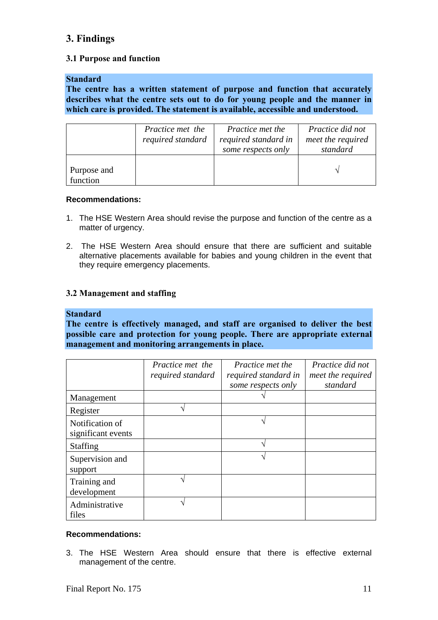# **3. Findings**

## **3.1 Purpose and function**

### **Standard**

**The centre has a written statement of purpose and function that accurately describes what the centre sets out to do for young people and the manner in which care is provided. The statement is available, accessible and understood.** 

|                         | Practice met the<br>required standard | <i>Practice met the</i><br>required standard in<br>some respects only | <i>Practice did not</i><br>meet the required<br>standard |
|-------------------------|---------------------------------------|-----------------------------------------------------------------------|----------------------------------------------------------|
| Purpose and<br>function |                                       |                                                                       |                                                          |

### **Recommendations:**

- 1. The HSE Western Area should revise the purpose and function of the centre as a matter of urgency.
- 2. The HSE Western Area should ensure that there are sufficient and suitable alternative placements available for babies and young children in the event that they require emergency placements.

### **3.2 Management and staffing**

### **Standard**

**The centre is effectively managed, and staff are organised to deliver the best possible care and protection for young people. There are appropriate external management and monitoring arrangements in place.** 

|                                       | Practice met the<br>required standard | Practice met the<br>required standard in<br>some respects only | Practice did not<br>meet the required<br>standard |
|---------------------------------------|---------------------------------------|----------------------------------------------------------------|---------------------------------------------------|
| Management                            |                                       |                                                                |                                                   |
| Register                              |                                       |                                                                |                                                   |
| Notification of<br>significant events |                                       |                                                                |                                                   |
| <b>Staffing</b>                       |                                       |                                                                |                                                   |
| Supervision and<br>support            |                                       |                                                                |                                                   |
| Training and<br>development           |                                       |                                                                |                                                   |
| Administrative<br>files               |                                       |                                                                |                                                   |

### **Recommendations:**

3. The HSE Western Area should ensure that there is effective external management of the centre.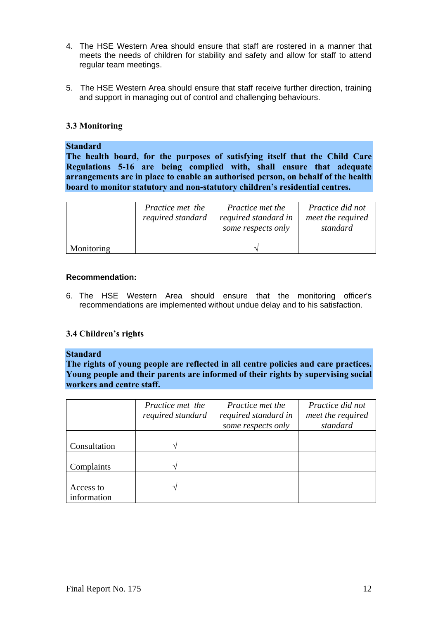- 4. The HSE Western Area should ensure that staff are rostered in a manner that meets the needs of children for stability and safety and allow for staff to attend regular team meetings.
- 5. The HSE Western Area should ensure that staff receive further direction, training and support in managing out of control and challenging behaviours.

## **3.3 Monitoring**

#### **Standard**

**The health board, for the purposes of satisfying itself that the Child Care Regulations 5-16 are being complied with, shall ensure that adequate arrangements are in place to enable an authorised person, on behalf of the health board to monitor statutory and non-statutory children's residential centres.** 

|            | Practice met the<br>required standard | Practice met the<br>required standard in<br>some respects only | Practice did not<br>meet the required<br>standard |
|------------|---------------------------------------|----------------------------------------------------------------|---------------------------------------------------|
| Monitoring |                                       |                                                                |                                                   |

### **Recommendation:**

6. The HSE Western Area should ensure that the monitoring officer's recommendations are implemented without undue delay and to his satisfaction.

### **3.4 Children's rights**

#### **Standard**

**The rights of young people are reflected in all centre policies and care practices. Young people and their parents are informed of their rights by supervising social workers and centre staff.** 

|                          | Practice met the<br>required standard | <i>Practice met the</i><br>required standard in<br>some respects only | Practice did not<br>meet the required<br>standard |
|--------------------------|---------------------------------------|-----------------------------------------------------------------------|---------------------------------------------------|
| Consultation             | $\mathcal{N}$                         |                                                                       |                                                   |
| Complaints               | ٦                                     |                                                                       |                                                   |
| Access to<br>information |                                       |                                                                       |                                                   |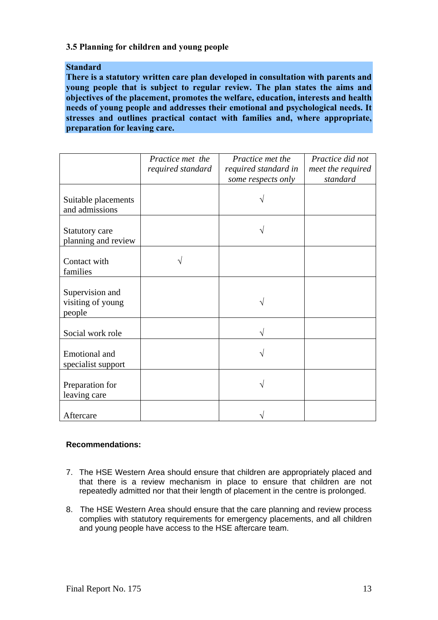## **3.5 Planning for children and young people**

### **Standard**

**There is a statutory written care plan developed in consultation with parents and young people that is subject to regular review. The plan states the aims and objectives of the placement, promotes the welfare, education, interests and health needs of young people and addresses their emotional and psychological needs. It stresses and outlines practical contact with families and, where appropriate, preparation for leaving care.** 

|                                                | Practice met the<br>required standard | Practice met the<br>required standard in<br>some respects only | Practice did not<br>meet the required<br>standard |
|------------------------------------------------|---------------------------------------|----------------------------------------------------------------|---------------------------------------------------|
| Suitable placements<br>and admissions          |                                       |                                                                |                                                   |
| Statutory care<br>planning and review          |                                       |                                                                |                                                   |
| Contact with<br>families                       |                                       |                                                                |                                                   |
| Supervision and<br>visiting of young<br>people |                                       |                                                                |                                                   |
| Social work role                               |                                       |                                                                |                                                   |
| <b>Emotional</b> and<br>specialist support     |                                       |                                                                |                                                   |
| Preparation for<br>leaving care                |                                       |                                                                |                                                   |
| Aftercare                                      |                                       |                                                                |                                                   |

### **Recommendations:**

- 7. The HSE Western Area should ensure that children are appropriately placed and that there is a review mechanism in place to ensure that children are not repeatedly admitted nor that their length of placement in the centre is prolonged.
- 8. The HSE Western Area should ensure that the care planning and review process complies with statutory requirements for emergency placements, and all children and young people have access to the HSE aftercare team.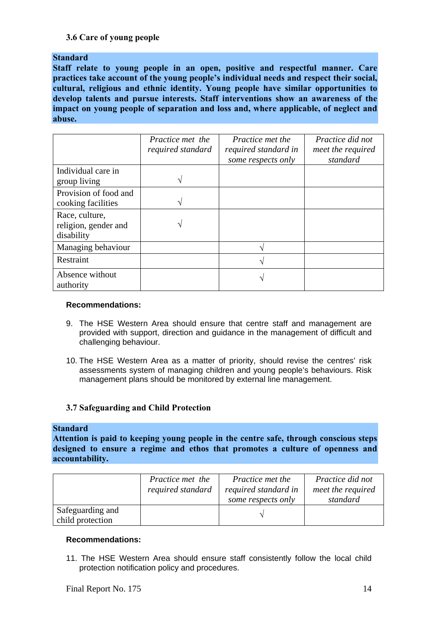# **3.6 Care of young people**

**Standard** 

**Staff relate to young people in an open, positive and respectful manner. Care practices take account of the young people's individual needs and respect their social, cultural, religious and ethnic identity. Young people have similar opportunities to develop talents and pursue interests. Staff interventions show an awareness of the impact on young people of separation and loss and, where applicable, of neglect and abuse.** 

|                                                      | Practice met the<br>required standard | <i>Practice met the</i><br>required standard in<br>some respects only | Practice did not<br>meet the required<br>standard |
|------------------------------------------------------|---------------------------------------|-----------------------------------------------------------------------|---------------------------------------------------|
| Individual care in<br>group living                   | ٦                                     |                                                                       |                                                   |
| Provision of food and<br>cooking facilities          |                                       |                                                                       |                                                   |
| Race, culture,<br>religion, gender and<br>disability | ٦                                     |                                                                       |                                                   |
| Managing behaviour                                   |                                       |                                                                       |                                                   |
| Restraint                                            |                                       |                                                                       |                                                   |
| Absence without<br>authority                         |                                       |                                                                       |                                                   |

#### **Recommendations:**

- 9. The HSE Western Area should ensure that centre staff and management are provided with support, direction and guidance in the management of difficult and challenging behaviour.
- 10. The HSE Western Area as a matter of priority, should revise the centres' risk assessments system of managing children and young people's behaviours. Risk management plans should be monitored by external line management.

## **3.7 Safeguarding and Child Protection**

### **Standard**

**Attention is paid to keeping young people in the centre safe, through conscious steps designed to ensure a regime and ethos that promotes a culture of openness and accountability.** 

|                                      | Practice met the<br>required standard | <i>Practice met the</i><br>required standard in<br>some respects only | Practice did not<br>meet the required<br>standard |
|--------------------------------------|---------------------------------------|-----------------------------------------------------------------------|---------------------------------------------------|
| Safeguarding and<br>child protection |                                       |                                                                       |                                                   |

#### **Recommendations:**

11. The HSE Western Area should ensure staff consistently follow the local child protection notification policy and procedures.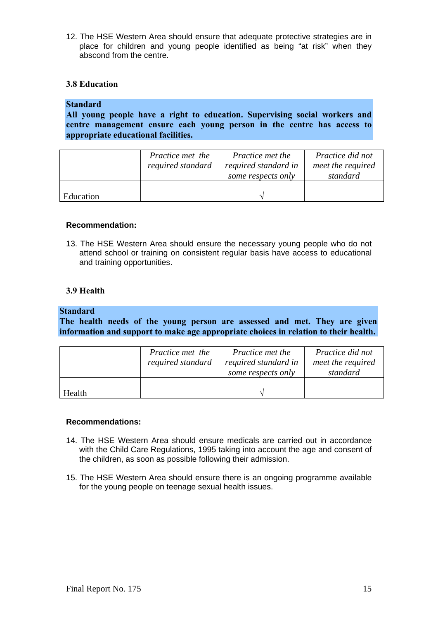12. The HSE Western Area should ensure that adequate protective strategies are in place for children and young people identified as being "at risk" when they abscond from the centre.

# **3.8 Education**

# **Standard**

**All young people have a right to education. Supervising social workers and centre management ensure each young person in the centre has access to appropriate educational facilities.** 

|           | Practice met the<br>required standard | <i>Practice met the</i><br>required standard in<br>some respects only | Practice did not<br>meet the required<br>standard |
|-----------|---------------------------------------|-----------------------------------------------------------------------|---------------------------------------------------|
| Education |                                       |                                                                       |                                                   |

#### **Recommendation:**

13. The HSE Western Area should ensure the necessary young people who do not attend school or training on consistent regular basis have access to educational and training opportunities.

## **3.9 Health**

# **Standard**

**The health needs of the young person are assessed and met. They are given information and support to make age appropriate choices in relation to their health.** 

|        | Practice met the<br>required standard | <i>Practice met the</i><br>required standard in<br>some respects only | Practice did not<br>meet the required<br>standard |
|--------|---------------------------------------|-----------------------------------------------------------------------|---------------------------------------------------|
| Health |                                       |                                                                       |                                                   |

#### **Recommendations:**

- 14. The HSE Western Area should ensure medicals are carried out in accordance with the Child Care Regulations, 1995 taking into account the age and consent of the children, as soon as possible following their admission.
- 15. The HSE Western Area should ensure there is an ongoing programme available for the young people on teenage sexual health issues.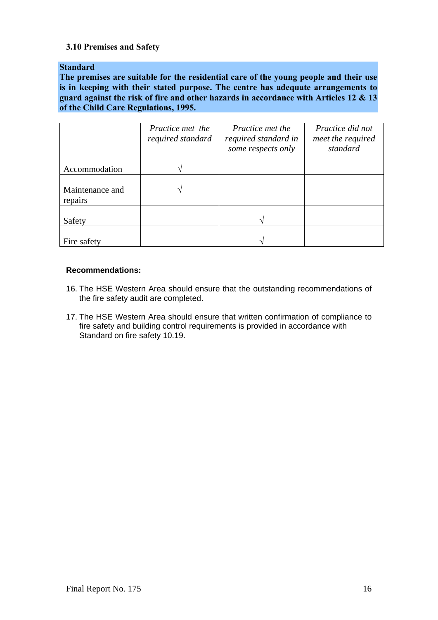# **3.10 Premises and Safety**

## **Standard**

**The premises are suitable for the residential care of the young people and their use is in keeping with their stated purpose. The centre has adequate arrangements to guard against the risk of fire and other hazards in accordance with Articles 12 & 13 of the Child Care Regulations, 1995.** 

|                            | Practice met the<br>required standard | Practice met the<br>required standard in<br>some respects only | Practice did not<br>meet the required<br>standard |
|----------------------------|---------------------------------------|----------------------------------------------------------------|---------------------------------------------------|
| Accommodation              |                                       |                                                                |                                                   |
| Maintenance and<br>repairs |                                       |                                                                |                                                   |
| Safety                     |                                       |                                                                |                                                   |
| Fire safety                |                                       |                                                                |                                                   |

## **Recommendations:**

- 16. The HSE Western Area should ensure that the outstanding recommendations of the fire safety audit are completed.
- 17. The HSE Western Area should ensure that written confirmation of compliance to fire safety and building control requirements is provided in accordance with Standard on fire safety 10.19.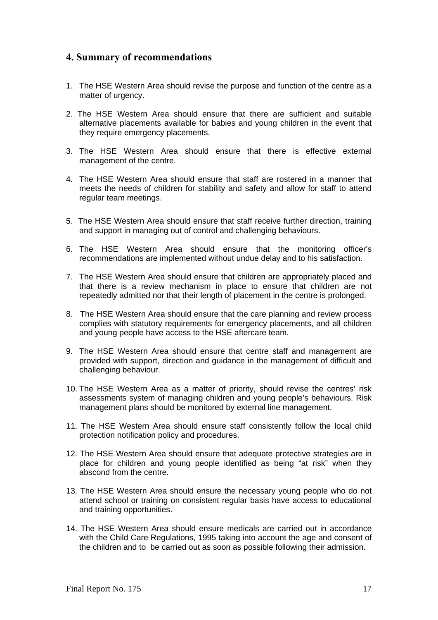# **4. Summary of recommendations**

- 1. The HSE Western Area should revise the purpose and function of the centre as a matter of urgency.
- 2. The HSE Western Area should ensure that there are sufficient and suitable alternative placements available for babies and young children in the event that they require emergency placements.
- 3. The HSE Western Area should ensure that there is effective external management of the centre.
- 4. The HSE Western Area should ensure that staff are rostered in a manner that meets the needs of children for stability and safety and allow for staff to attend regular team meetings.
- 5. The HSE Western Area should ensure that staff receive further direction, training and support in managing out of control and challenging behaviours.
- 6. The HSE Western Area should ensure that the monitoring officer's recommendations are implemented without undue delay and to his satisfaction.
- 7. The HSE Western Area should ensure that children are appropriately placed and that there is a review mechanism in place to ensure that children are not repeatedly admitted nor that their length of placement in the centre is prolonged.
- 8. The HSE Western Area should ensure that the care planning and review process complies with statutory requirements for emergency placements, and all children and young people have access to the HSE aftercare team.
- 9. The HSE Western Area should ensure that centre staff and management are provided with support, direction and guidance in the management of difficult and challenging behaviour.
- 10. The HSE Western Area as a matter of priority, should revise the centres' risk assessments system of managing children and young people's behaviours. Risk management plans should be monitored by external line management.
- 11. The HSE Western Area should ensure staff consistently follow the local child protection notification policy and procedures.
- 12. The HSE Western Area should ensure that adequate protective strategies are in place for children and young people identified as being "at risk" when they abscond from the centre.
- 13. The HSE Western Area should ensure the necessary young people who do not attend school or training on consistent regular basis have access to educational and training opportunities.
- 14. The HSE Western Area should ensure medicals are carried out in accordance with the Child Care Regulations, 1995 taking into account the age and consent of the children and to be carried out as soon as possible following their admission.